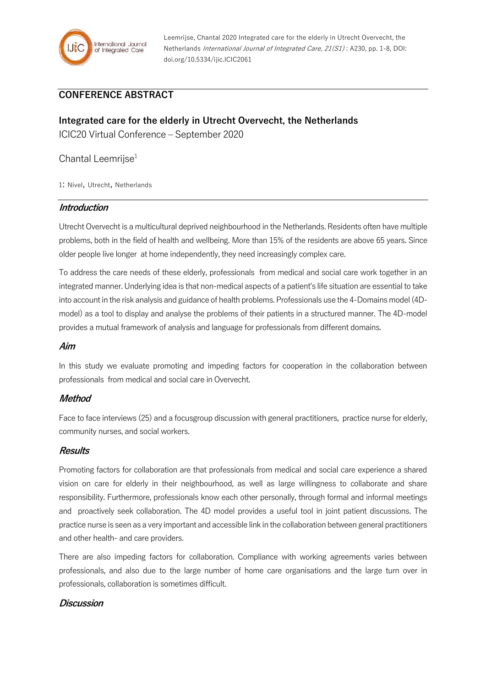

Leemrijse, Chantal 2020 Integrated care for the elderly in Utrecht Overvecht, the Netherlands International Journal of Integrated Care, 21(S1) : A230, pp. 1-8, DOI: doi.org/10.5334/ijic.ICIC2061

# **CONFERENCE ABSTRACT**

# **Integrated care for the elderly in Utrecht Overvecht, the Netherlands**

ICIC20 Virtual Conference – September 2020

# Chantal Leemrijse $1$

1: Nivel, Utrecht, Netherlands

## **Introduction**

Utrecht Overvecht is a multicultural deprived neighbourhood in the Netherlands. Residents often have multiple problems, both in the field of health and wellbeing. More than 15% of the residents are above 65 years. Since older people live longer at home independently, they need increasingly complex care.

To address the care needs of these elderly, professionals from medical and social care work together in an integrated manner. Underlying idea is that non-medical aspects of a patient's life situation are essential to take into account in the risk analysis and guidance of health problems. Professionals use the 4-Domains model (4Dmodel) as a tool to display and analyse the problems of their patients in a structured manner. The 4D-model provides a mutual framework of analysis and language for professionals from different domains.

#### **Aim**

In this study we evaluate promoting and impeding factors for cooperation in the collaboration between professionals from medical and social care in Overvecht.

## **Method**

Face to face interviews (25) and a focusgroup discussion with general practitioners, practice nurse for elderly, community nurses, and social workers.

#### **Results**

Promoting factors for collaboration are that professionals from medical and social care experience a shared vision on care for elderly in their neighbourhood, as well as large willingness to collaborate and share responsibility. Furthermore, professionals know each other personally, through formal and informal meetings and proactively seek collaboration. The 4D model provides a useful tool in joint patient discussions. The practice nurse is seen as a very important and accessible link in the collaboration between general practitioners and other health- and care providers.

There are also impeding factors for collaboration. Compliance with working agreements varies between professionals, and also due to the large number of home care organisations and the large turn over in professionals, collaboration is sometimes difficult.

#### **Discussion**